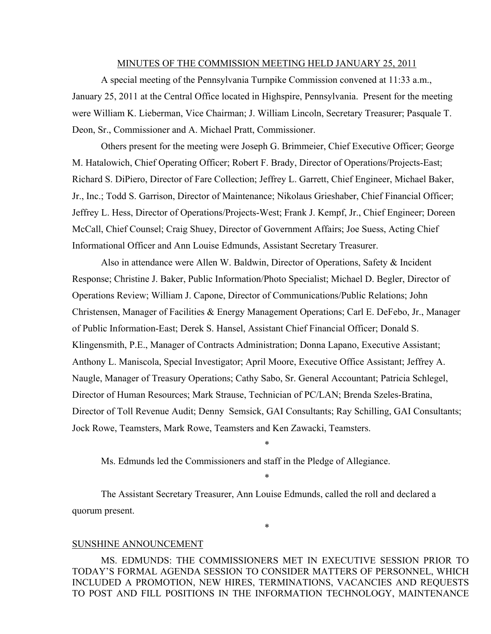#### MINUTES OF THE COMMISSION MEETING HELD JANUARY 25, 2011

A special meeting of the Pennsylvania Turnpike Commission convened at 11:33 a.m., January 25, 2011 at the Central Office located in Highspire, Pennsylvania. Present for the meeting were William K. Lieberman, Vice Chairman; J. William Lincoln, Secretary Treasurer; Pasquale T. Deon, Sr., Commissioner and A. Michael Pratt, Commissioner.

Others present for the meeting were Joseph G. Brimmeier, Chief Executive Officer; George M. Hatalowich, Chief Operating Officer; Robert F. Brady, Director of Operations/Projects-East; Richard S. DiPiero, Director of Fare Collection; Jeffrey L. Garrett, Chief Engineer, Michael Baker, Jr., Inc.; Todd S. Garrison, Director of Maintenance; Nikolaus Grieshaber, Chief Financial Officer; Jeffrey L. Hess, Director of Operations/Projects-West; Frank J. Kempf, Jr., Chief Engineer; Doreen McCall, Chief Counsel; Craig Shuey, Director of Government Affairs; Joe Suess, Acting Chief Informational Officer and Ann Louise Edmunds, Assistant Secretary Treasurer.

Also in attendance were Allen W. Baldwin, Director of Operations, Safety & Incident Response; Christine J. Baker, Public Information/Photo Specialist; Michael D. Begler, Director of Operations Review; William J. Capone, Director of Communications/Public Relations; John Christensen, Manager of Facilities & Energy Management Operations; Carl E. DeFebo, Jr., Manager of Public Information-East; Derek S. Hansel, Assistant Chief Financial Officer; Donald S. Klingensmith, P.E., Manager of Contracts Administration; Donna Lapano, Executive Assistant; Anthony L. Maniscola, Special Investigator; April Moore, Executive Office Assistant; Jeffrey A. Naugle, Manager of Treasury Operations; Cathy Sabo, Sr. General Accountant; Patricia Schlegel, Director of Human Resources; Mark Strause, Technician of PC/LAN; Brenda Szeles-Bratina, Director of Toll Revenue Audit; Denny Semsick, GAI Consultants; Ray Schilling, GAI Consultants; Jock Rowe, Teamsters, Mark Rowe, Teamsters and Ken Zawacki, Teamsters.

\*

\*

\*

Ms. Edmunds led the Commissioners and staff in the Pledge of Allegiance.

The Assistant Secretary Treasurer, Ann Louise Edmunds, called the roll and declared a quorum present.

#### SUNSHINE ANNOUNCEMENT

MS. EDMUNDS: THE COMMISSIONERS MET IN EXECUTIVE SESSION PRIOR TO TODAY'S FORMAL AGENDA SESSION TO CONSIDER MATTERS OF PERSONNEL, WHICH INCLUDED A PROMOTION, NEW HIRES, TERMINATIONS, VACANCIES AND REQUESTS TO POST AND FILL POSITIONS IN THE INFORMATION TECHNOLOGY, MAINTENANCE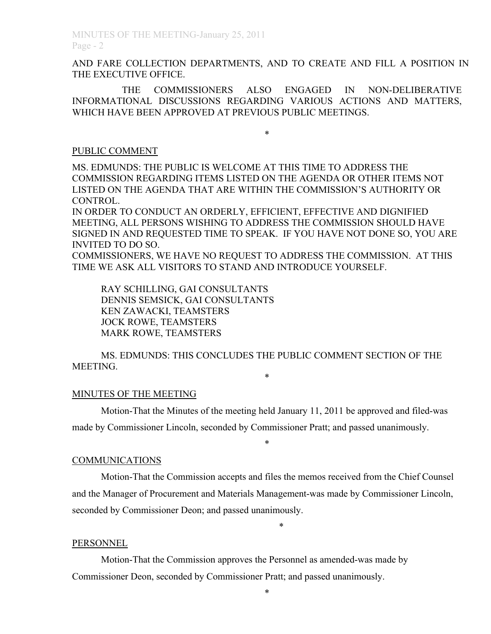AND FARE COLLECTION DEPARTMENTS, AND TO CREATE AND FILL A POSITION IN THE EXECUTIVE OFFICE.

THE COMMISSIONERS ALSO ENGAGED IN NON-DELIBERATIVE INFORMATIONAL DISCUSSIONS REGARDING VARIOUS ACTIONS AND MATTERS, WHICH HAVE BEEN APPROVED AT PREVIOUS PUBLIC MEETINGS.

\*

#### PUBLIC COMMENT

MS. EDMUNDS: THE PUBLIC IS WELCOME AT THIS TIME TO ADDRESS THE COMMISSION REGARDING ITEMS LISTED ON THE AGENDA OR OTHER ITEMS NOT LISTED ON THE AGENDA THAT ARE WITHIN THE COMMISSION'S AUTHORITY OR CONTROL.

IN ORDER TO CONDUCT AN ORDERLY, EFFICIENT, EFFECTIVE AND DIGNIFIED MEETING, ALL PERSONS WISHING TO ADDRESS THE COMMISSION SHOULD HAVE SIGNED IN AND REQUESTED TIME TO SPEAK. IF YOU HAVE NOT DONE SO, YOU ARE INVITED TO DO SO.

COMMISSIONERS, WE HAVE NO REQUEST TO ADDRESS THE COMMISSION. AT THIS TIME WE ASK ALL VISITORS TO STAND AND INTRODUCE YOURSELF.

RAY SCHILLING, GAI CONSULTANTS DENNIS SEMSICK, GAI CONSULTANTS KEN ZAWACKI, TEAMSTERS JOCK ROWE, TEAMSTERS MARK ROWE, TEAMSTERS

MS. EDMUNDS: THIS CONCLUDES THE PUBLIC COMMENT SECTION OF THE MEETING.

\*

#### MINUTES OF THE MEETING

Motion-That the Minutes of the meeting held January 11, 2011 be approved and filed-was made by Commissioner Lincoln, seconded by Commissioner Pratt; and passed unanimously.

\*

#### COMMUNICATIONS

Motion-That the Commission accepts and files the memos received from the Chief Counsel and the Manager of Procurement and Materials Management-was made by Commissioner Lincoln, seconded by Commissioner Deon; and passed unanimously.

\*

#### PERSONNEL

Motion-That the Commission approves the Personnel as amended-was made by Commissioner Deon, seconded by Commissioner Pratt; and passed unanimously.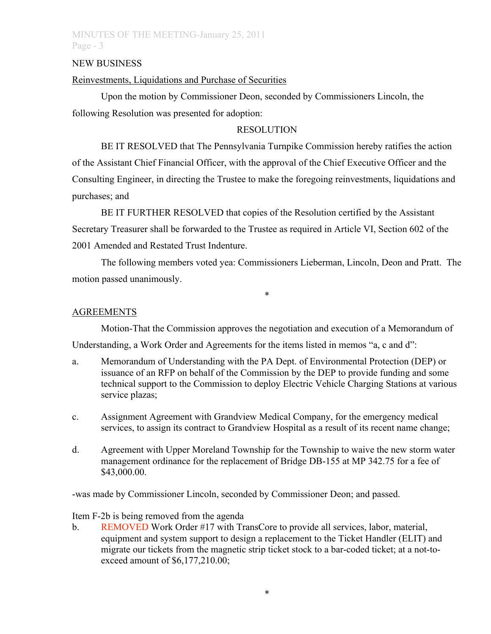## MINUTES OF THE MEETING-January 25, 2011 Page - 3

### NEW BUSINESS

### Reinvestments, Liquidations and Purchase of Securities

Upon the motion by Commissioner Deon, seconded by Commissioners Lincoln, the following Resolution was presented for adoption:

### RESOLUTION

BE IT RESOLVED that The Pennsylvania Turnpike Commission hereby ratifies the action of the Assistant Chief Financial Officer, with the approval of the Chief Executive Officer and the Consulting Engineer, in directing the Trustee to make the foregoing reinvestments, liquidations and purchases; and

BE IT FURTHER RESOLVED that copies of the Resolution certified by the Assistant Secretary Treasurer shall be forwarded to the Trustee as required in Article VI, Section 602 of the 2001 Amended and Restated Trust Indenture.

The following members voted yea: Commissioners Lieberman, Lincoln, Deon and Pratt. The motion passed unanimously.

\*

### **AGREEMENTS**

Motion-That the Commission approves the negotiation and execution of a Memorandum of

Understanding, a Work Order and Agreements for the items listed in memos "a, c and d":

- a. Memorandum of Understanding with the PA Dept. of Environmental Protection (DEP) or issuance of an RFP on behalf of the Commission by the DEP to provide funding and some technical support to the Commission to deploy Electric Vehicle Charging Stations at various service plazas;
- c. Assignment Agreement with Grandview Medical Company, for the emergency medical services, to assign its contract to Grandview Hospital as a result of its recent name change;
- d. Agreement with Upper Moreland Township for the Township to waive the new storm water management ordinance for the replacement of Bridge DB-155 at MP 342.75 for a fee of \$43,000.00.

-was made by Commissioner Lincoln, seconded by Commissioner Deon; and passed.

Item F-2b is being removed from the agenda

b. REMOVED Work Order #17 with TransCore to provide all services, labor, material, equipment and system support to design a replacement to the Ticket Handler (ELIT) and migrate our tickets from the magnetic strip ticket stock to a bar-coded ticket; at a not-toexceed amount of \$6,177,210.00;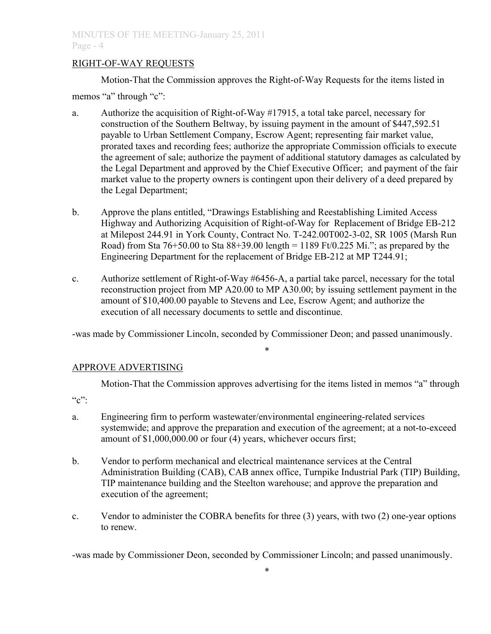### RIGHT-OF-WAY REQUESTS

Motion-That the Commission approves the Right-of-Way Requests for the items listed in

memos "a" through "c":

- a. Authorize the acquisition of Right-of-Way #17915, a total take parcel, necessary for construction of the Southern Beltway, by issuing payment in the amount of \$447,592.51 payable to Urban Settlement Company, Escrow Agent; representing fair market value, prorated taxes and recording fees; authorize the appropriate Commission officials to execute the agreement of sale; authorize the payment of additional statutory damages as calculated by the Legal Department and approved by the Chief Executive Officer; and payment of the fair market value to the property owners is contingent upon their delivery of a deed prepared by the Legal Department;
- b. Approve the plans entitled, "Drawings Establishing and Reestablishing Limited Access Highway and Authorizing Acquisition of Right-of-Way for Replacement of Bridge EB-212 at Milepost 244.91 in York County, Contract No. T-242.00T002-3-02, SR 1005 (Marsh Run Road) from Sta  $76+50.00$  to Sta  $88+39.00$  length = 1189 Ft/0.225 Mi."; as prepared by the Engineering Department for the replacement of Bridge EB-212 at MP T244.91;
- c. Authorize settlement of Right-of-Way #6456-A, a partial take parcel, necessary for the total reconstruction project from MP A20.00 to MP A30.00; by issuing settlement payment in the amount of \$10,400.00 payable to Stevens and Lee, Escrow Agent; and authorize the execution of all necessary documents to settle and discontinue.

-was made by Commissioner Lincoln, seconded by Commissioner Deon; and passed unanimously.

\*

## APPROVE ADVERTISING

Motion-That the Commission approves advertising for the items listed in memos "a" through

 $C$ ":

- a. Engineering firm to perform wastewater/environmental engineering-related services systemwide; and approve the preparation and execution of the agreement; at a not-to-exceed amount of \$1,000,000.00 or four (4) years, whichever occurs first;
- b. Vendor to perform mechanical and electrical maintenance services at the Central Administration Building (CAB), CAB annex office, Turnpike Industrial Park (TIP) Building, TIP maintenance building and the Steelton warehouse; and approve the preparation and execution of the agreement;
- c. Vendor to administer the COBRA benefits for three (3) years, with two (2) one-year options to renew.

-was made by Commissioner Deon, seconded by Commissioner Lincoln; and passed unanimously.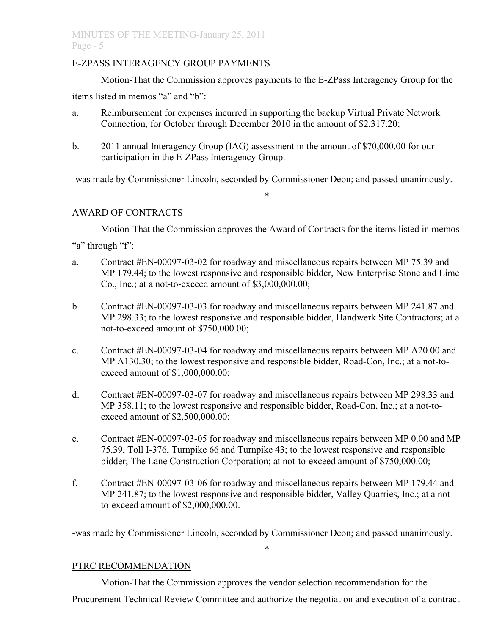## E-ZPASS INTERAGENCY GROUP PAYMENTS

Motion-That the Commission approves payments to the E-ZPass Interagency Group for the items listed in memos "a" and "b":

- a. Reimbursement for expenses incurred in supporting the backup Virtual Private Network Connection, for October through December 2010 in the amount of \$2,317.20;
- b. 2011 annual Interagency Group (IAG) assessment in the amount of \$70,000.00 for our participation in the E-ZPass Interagency Group.

-was made by Commissioner Lincoln, seconded by Commissioner Deon; and passed unanimously.

\*

## AWARD OF CONTRACTS

Motion-That the Commission approves the Award of Contracts for the items listed in memos

"a" through "f":

- a. Contract #EN-00097-03-02 for roadway and miscellaneous repairs between MP 75.39 and MP 179.44; to the lowest responsive and responsible bidder, New Enterprise Stone and Lime Co., Inc.; at a not-to-exceed amount of \$3,000,000.00;
- b. Contract #EN-00097-03-03 for roadway and miscellaneous repairs between MP 241.87 and MP 298.33; to the lowest responsive and responsible bidder, Handwerk Site Contractors; at a not-to-exceed amount of \$750,000.00;
- c. Contract #EN-00097-03-04 for roadway and miscellaneous repairs between MP A20.00 and MP A130.30; to the lowest responsive and responsible bidder, Road-Con, Inc.; at a not-toexceed amount of \$1,000,000.00;
- d. Contract #EN-00097-03-07 for roadway and miscellaneous repairs between MP 298.33 and MP 358.11; to the lowest responsive and responsible bidder, Road-Con, Inc.; at a not-toexceed amount of \$2,500,000.00;
- e. Contract #EN-00097-03-05 for roadway and miscellaneous repairs between MP 0.00 and MP 75.39, Toll I-376, Turnpike 66 and Turnpike 43; to the lowest responsive and responsible bidder; The Lane Construction Corporation; at not-to-exceed amount of \$750,000.00;
- f. Contract #EN-00097-03-06 for roadway and miscellaneous repairs between MP 179.44 and MP 241.87; to the lowest responsive and responsible bidder, Valley Quarries, Inc.; at a notto-exceed amount of \$2,000,000.00.

-was made by Commissioner Lincoln, seconded by Commissioner Deon; and passed unanimously.

# \*

# PTRC RECOMMENDATION

Motion-That the Commission approves the vendor selection recommendation for the Procurement Technical Review Committee and authorize the negotiation and execution of a contract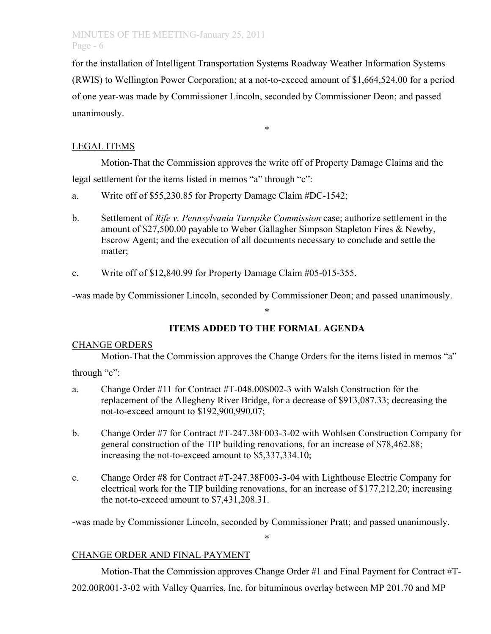## MINUTES OF THE MEETING-January 25, 2011 Page - 6

for the installation of Intelligent Transportation Systems Roadway Weather Information Systems (RWIS) to Wellington Power Corporation; at a not-to-exceed amount of \$1,664,524.00 for a period of one year-was made by Commissioner Lincoln, seconded by Commissioner Deon; and passed unanimously.

\*

# LEGAL ITEMS

Motion-That the Commission approves the write off of Property Damage Claims and the legal settlement for the items listed in memos "a" through "c":

- a. Write off of \$55,230.85 for Property Damage Claim #DC-1542;
- b. Settlement of *Rife v. Pennsylvania Turnpike Commission* case; authorize settlement in the amount of \$27,500.00 payable to Weber Gallagher Simpson Stapleton Fires & Newby, Escrow Agent; and the execution of all documents necessary to conclude and settle the matter;
- c. Write off of \$12,840.99 for Property Damage Claim #05-015-355.

-was made by Commissioner Lincoln, seconded by Commissioner Deon; and passed unanimously.

# **ITEMS ADDED TO THE FORMAL AGENDA**

\*

# CHANGE ORDERS

Motion-That the Commission approves the Change Orders for the items listed in memos "a"

through "c":

- a. Change Order #11 for Contract #T-048.00S002-3 with Walsh Construction for the replacement of the Allegheny River Bridge, for a decrease of \$913,087.33; decreasing the not-to-exceed amount to \$192,900,990.07;
- b. Change Order #7 for Contract #T-247.38F003-3-02 with Wohlsen Construction Company for general construction of the TIP building renovations, for an increase of \$78,462.88; increasing the not-to-exceed amount to \$5,337,334.10;
- c. Change Order #8 for Contract #T-247.38F003-3-04 with Lighthouse Electric Company for electrical work for the TIP building renovations, for an increase of \$177,212.20; increasing the not-to-exceed amount to \$7,431,208.31.

-was made by Commissioner Lincoln, seconded by Commissioner Pratt; and passed unanimously.

\*

# CHANGE ORDER AND FINAL PAYMENT

Motion-That the Commission approves Change Order #1 and Final Payment for Contract #T-

202.00R001-3-02 with Valley Quarries, Inc. for bituminous overlay between MP 201.70 and MP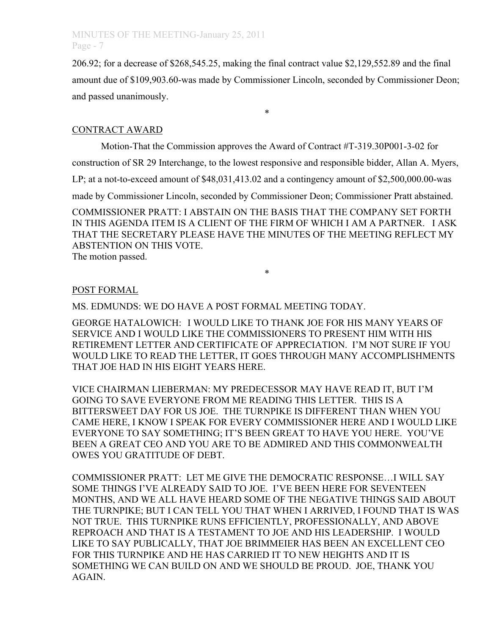## MINUTES OF THE MEETING-January 25, 2011 Page - 7

206.92; for a decrease of \$268,545.25, making the final contract value \$2,129,552.89 and the final amount due of \$109,903.60-was made by Commissioner Lincoln, seconded by Commissioner Deon; and passed unanimously.

\*

### CONTRACT AWARD

Motion-That the Commission approves the Award of Contract #T-319.30P001-3-02 for

construction of SR 29 Interchange, to the lowest responsive and responsible bidder, Allan A. Myers,

LP; at a not-to-exceed amount of \$48,031,413.02 and a contingency amount of \$2,500,000.00-was

made by Commissioner Lincoln, seconded by Commissioner Deon; Commissioner Pratt abstained.

COMMISSIONER PRATT: I ABSTAIN ON THE BASIS THAT THE COMPANY SET FORTH IN THIS AGENDA ITEM IS A CLIENT OF THE FIRM OF WHICH I AM A PARTNER. I ASK THAT THE SECRETARY PLEASE HAVE THE MINUTES OF THE MEETING REFLECT MY ABSTENTION ON THIS VOTE. The motion passed.

\*

### POST FORMAL

MS. EDMUNDS: WE DO HAVE A POST FORMAL MEETING TODAY.

GEORGE HATALOWICH: I WOULD LIKE TO THANK JOE FOR HIS MANY YEARS OF SERVICE AND I WOULD LIKE THE COMMISSIONERS TO PRESENT HIM WITH HIS RETIREMENT LETTER AND CERTIFICATE OF APPRECIATION. I'M NOT SURE IF YOU WOULD LIKE TO READ THE LETTER, IT GOES THROUGH MANY ACCOMPLISHMENTS THAT JOE HAD IN HIS EIGHT YEARS HERE.

VICE CHAIRMAN LIEBERMAN: MY PREDECESSOR MAY HAVE READ IT, BUT I'M GOING TO SAVE EVERYONE FROM ME READING THIS LETTER. THIS IS A BITTERSWEET DAY FOR US JOE. THE TURNPIKE IS DIFFERENT THAN WHEN YOU CAME HERE, I KNOW I SPEAK FOR EVERY COMMISSIONER HERE AND I WOULD LIKE EVERYONE TO SAY SOMETHING; IT'S BEEN GREAT TO HAVE YOU HERE. YOU'VE BEEN A GREAT CEO AND YOU ARE TO BE ADMIRED AND THIS COMMONWEALTH OWES YOU GRATITUDE OF DEBT.

COMMISSIONER PRATT: LET ME GIVE THE DEMOCRATIC RESPONSE…I WILL SAY SOME THINGS I'VE ALREADY SAID TO JOE. I'VE BEEN HERE FOR SEVENTEEN MONTHS, AND WE ALL HAVE HEARD SOME OF THE NEGATIVE THINGS SAID ABOUT THE TURNPIKE; BUT I CAN TELL YOU THAT WHEN I ARRIVED, I FOUND THAT IS WAS NOT TRUE. THIS TURNPIKE RUNS EFFICIENTLY, PROFESSIONALLY, AND ABOVE REPROACH AND THAT IS A TESTAMENT TO JOE AND HIS LEADERSHIP. I WOULD LIKE TO SAY PUBLICALLY, THAT JOE BRIMMEIER HAS BEEN AN EXCELLENT CEO FOR THIS TURNPIKE AND HE HAS CARRIED IT TO NEW HEIGHTS AND IT IS SOMETHING WE CAN BUILD ON AND WE SHOULD BE PROUD. JOE, THANK YOU AGAIN.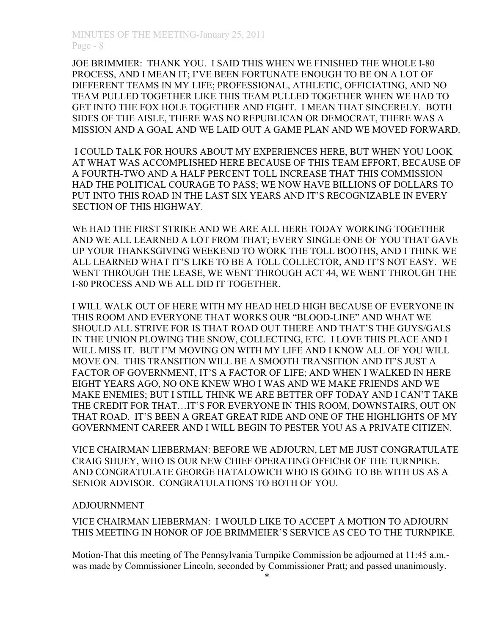JOE BRIMMIER: THANK YOU. I SAID THIS WHEN WE FINISHED THE WHOLE I-80 PROCESS, AND I MEAN IT; I'VE BEEN FORTUNATE ENOUGH TO BE ON A LOT OF DIFFERENT TEAMS IN MY LIFE; PROFESSIONAL, ATHLETIC, OFFICIATING, AND NO TEAM PULLED TOGETHER LIKE THIS TEAM PULLED TOGETHER WHEN WE HAD TO GET INTO THE FOX HOLE TOGETHER AND FIGHT. I MEAN THAT SINCERELY. BOTH SIDES OF THE AISLE, THERE WAS NO REPUBLICAN OR DEMOCRAT, THERE WAS A MISSION AND A GOAL AND WE LAID OUT A GAME PLAN AND WE MOVED FORWARD.

 I COULD TALK FOR HOURS ABOUT MY EXPERIENCES HERE, BUT WHEN YOU LOOK AT WHAT WAS ACCOMPLISHED HERE BECAUSE OF THIS TEAM EFFORT, BECAUSE OF A FOURTH-TWO AND A HALF PERCENT TOLL INCREASE THAT THIS COMMISSION HAD THE POLITICAL COURAGE TO PASS; WE NOW HAVE BILLIONS OF DOLLARS TO PUT INTO THIS ROAD IN THE LAST SIX YEARS AND IT'S RECOGNIZABLE IN EVERY SECTION OF THIS HIGHWAY.

WE HAD THE FIRST STRIKE AND WE ARE ALL HERE TODAY WORKING TOGETHER AND WE ALL LEARNED A LOT FROM THAT; EVERY SINGLE ONE OF YOU THAT GAVE UP YOUR THANKSGIVING WEEKEND TO WORK THE TOLL BOOTHS, AND I THINK WE ALL LEARNED WHAT IT'S LIKE TO BE A TOLL COLLECTOR, AND IT'S NOT EASY. WE WENT THROUGH THE LEASE, WE WENT THROUGH ACT 44, WE WENT THROUGH THE I-80 PROCESS AND WE ALL DID IT TOGETHER.

I WILL WALK OUT OF HERE WITH MY HEAD HELD HIGH BECAUSE OF EVERYONE IN THIS ROOM AND EVERYONE THAT WORKS OUR "BLOOD-LINE" AND WHAT WE SHOULD ALL STRIVE FOR IS THAT ROAD OUT THERE AND THAT'S THE GUYS/GALS IN THE UNION PLOWING THE SNOW, COLLECTING, ETC. I LOVE THIS PLACE AND I WILL MISS IT. BUT I'M MOVING ON WITH MY LIFE AND I KNOW ALL OF YOU WILL MOVE ON. THIS TRANSITION WILL BE A SMOOTH TRANSITION AND IT'S JUST A FACTOR OF GOVERNMENT, IT'S A FACTOR OF LIFE; AND WHEN I WALKED IN HERE EIGHT YEARS AGO, NO ONE KNEW WHO I WAS AND WE MAKE FRIENDS AND WE MAKE ENEMIES; BUT I STILL THINK WE ARE BETTER OFF TODAY AND I CAN'T TAKE THE CREDIT FOR THAT…IT'S FOR EVERYONE IN THIS ROOM, DOWNSTAIRS, OUT ON THAT ROAD. IT'S BEEN A GREAT GREAT RIDE AND ONE OF THE HIGHLIGHTS OF MY GOVERNMENT CAREER AND I WILL BEGIN TO PESTER YOU AS A PRIVATE CITIZEN.

VICE CHAIRMAN LIEBERMAN: BEFORE WE ADJOURN, LET ME JUST CONGRATULATE CRAIG SHUEY, WHO IS OUR NEW CHIEF OPERATING OFFICER OF THE TURNPIKE. AND CONGRATULATE GEORGE HATALOWICH WHO IS GOING TO BE WITH US AS A SENIOR ADVISOR. CONGRATULATIONS TO BOTH OF YOU.

### ADJOURNMENT

VICE CHAIRMAN LIEBERMAN: I WOULD LIKE TO ACCEPT A MOTION TO ADJOURN THIS MEETING IN HONOR OF JOE BRIMMEIER'S SERVICE AS CEO TO THE TURNPIKE.

Motion-That this meeting of The Pennsylvania Turnpike Commission be adjourned at 11:45 a.m. was made by Commissioner Lincoln, seconded by Commissioner Pratt; and passed unanimously.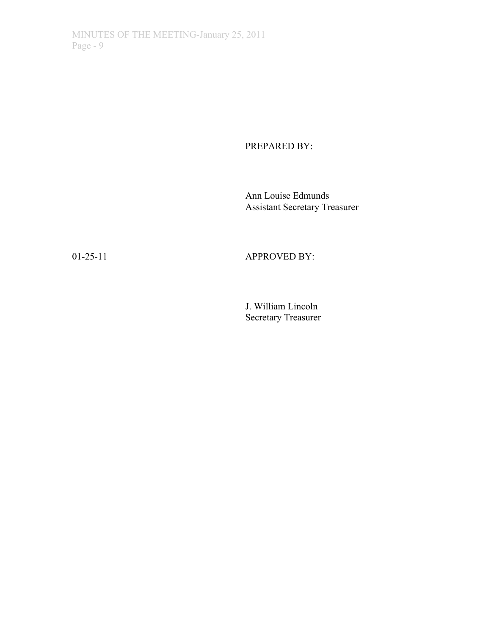PREPARED BY:

Ann Louise Edmunds Assistant Secretary Treasurer

# 01-25-11 APPROVED BY:

J. William Lincoln Secretary Treasurer